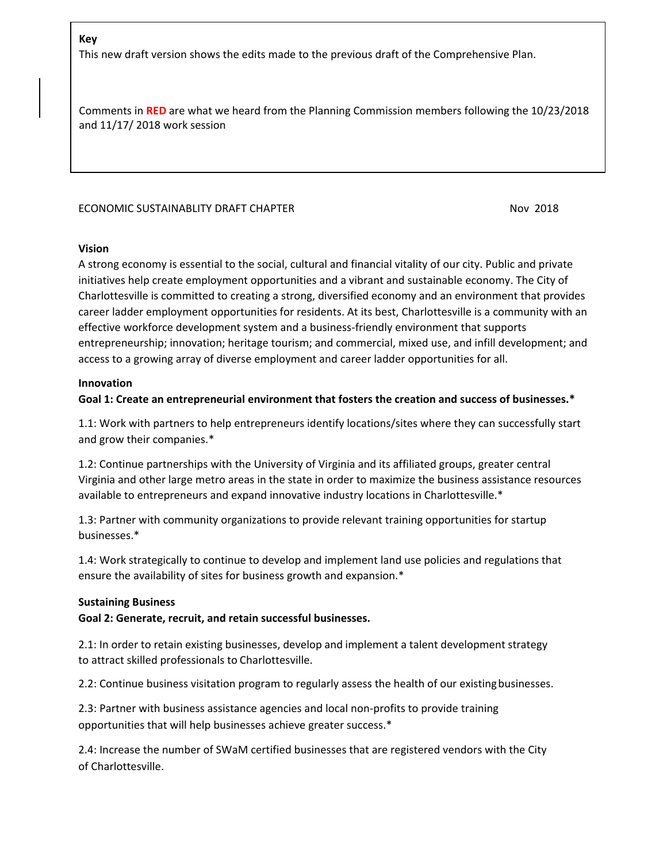### **Key**

This new draft version shows the edits made to the previous draft of the Comprehensive Plan.

Comments in **RED** are what we heard from the Planning Commission members following the 10/23/2018 and 11/17/ 2018 work session

### ECONOMIC SUSTAINABLITY DRAFT CHAPTER NOW 2018

#### **Vision**

A strong economy is essential to the social, cultural and financial vitality of our city. Public and private initiatives help create employment opportunities and a vibrant and sustainable economy. The City of Charlottesville is committed to creating a strong, diversified economy and an environment that provides career ladder employment opportunities for residents. At its best, Charlottesville is a community with an effective workforce development system and a business-friendly environment that supports entrepreneurship; innovation; heritage tourism; and commercial, mixed use, and infill development; and access to a growing array of diverse employment and career ladder opportunities for all.

#### **Innovation**

## **Goal 1: Create an entrepreneurial environment that fosters the creation and success of businesses.\***

1.1: Work with partners to help entrepreneurs identify locations/sites where they can successfully start and grow their companies.\*

1.2: Continue partnerships with the University of Virginia and its affiliated groups, greater central Virginia and other large metro areas in the state in order to maximize the business assistance resources available to entrepreneurs and expand innovative industry locations in Charlottesville.\*

1.3: Partner with community organizations to provide relevant training opportunities for startup businesses.\*

1.4: Work strategically to continue to develop and implement land use policies and regulations that ensure the availability of sites for business growth and expansion.\*

#### **Sustaining Business**

#### **Goal 2: Generate, recruit, and retain successful businesses.**

2.1: In order to retain existing businesses, develop and implement a talent development strategy to attract skilled professionals to Charlottesville.

2.2: Continue business visitation program to regularly assess the health of our existingbusinesses.

2.3: Partner with business assistance agencies and local non-profits to provide training opportunities that will help businesses achieve greater success.\*

2.4: Increase the number of SWaM certified businesses that are registered vendors with the City of Charlottesville.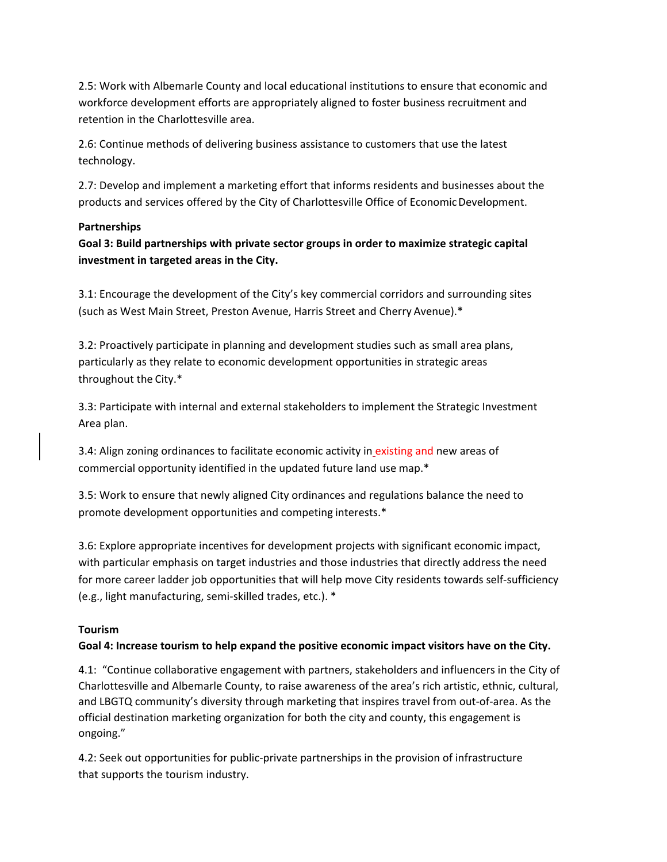2.5: Work with Albemarle County and local educational institutions to ensure that economic and workforce development efforts are appropriately aligned to foster business recruitment and retention in the Charlottesville area.

2.6: Continue methods of delivering business assistance to customers that use the latest technology.

2.7: Develop and implement a marketing effort that informs residents and businesses about the products and services offered by the City of Charlottesville Office of Economic Development.

# **Partnerships**

**Goal 3: Build partnerships with private sector groups in order to maximize strategic capital investment in targeted areas in the City.**

3.1: Encourage the development of the City's key commercial corridors and surrounding sites (such as West Main Street, Preston Avenue, Harris Street and Cherry Avenue).\*

3.2: Proactively participate in planning and development studies such as small area plans, particularly as they relate to economic development opportunities in strategic areas throughout the City.\*

3.3: Participate with internal and external stakeholders to implement the Strategic Investment Area plan.

3.4: Align zoning ordinances to facilitate economic activity in existing and new areas of commercial opportunity identified in the updated future land use map.\*

3.5: Work to ensure that newly aligned City ordinances and regulations balance the need to promote development opportunities and competing interests.\*

3.6: Explore appropriate incentives for development projects with significant economic impact, with particular emphasis on target industries and those industries that directly address the need for more career ladder job opportunities that will help move City residents towards self-sufficiency (e.g., light manufacturing, semi-skilled trades, etc.). \*

# **Tourism**

# **Goal 4: Increase tourism to help expand the positive economic impact visitors have on the City.**

4.1: "Continue collaborative engagement with partners, stakeholders and influencers in the City of Charlottesville and Albemarle County, to raise awareness of the area's rich artistic, ethnic, cultural, and LBGTQ community's diversity through marketing that inspires travel from out-of-area. As the official destination marketing organization for both the city and county, this engagement is ongoing."

4.2: Seek out opportunities for public-private partnerships in the provision of infrastructure that supports the tourism industry.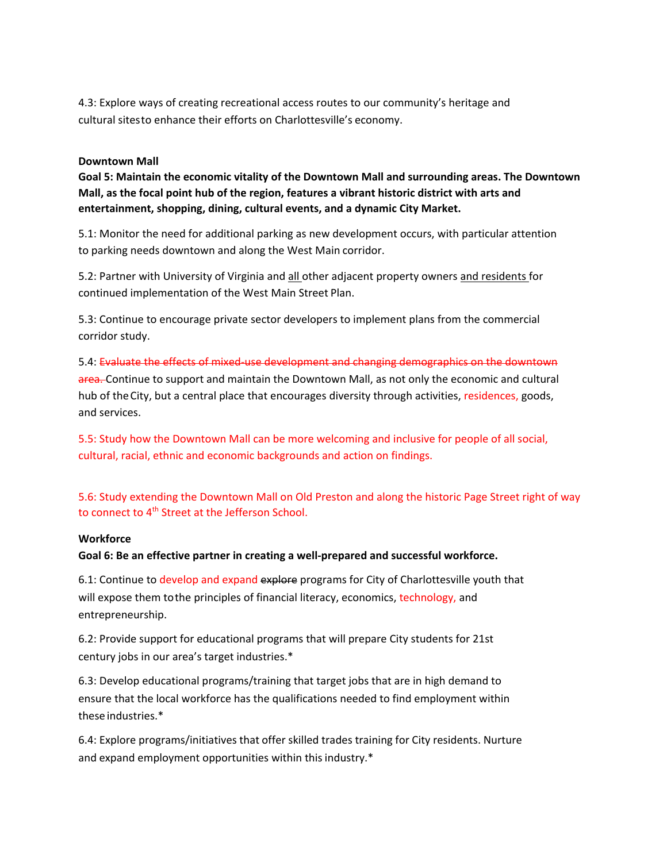4.3: Explore ways of creating recreational access routes to our community's heritage and cultural sitesto enhance their efforts on Charlottesville's economy.

### **Downtown Mall**

**Goal 5: Maintain the economic vitality of the Downtown Mall and surrounding areas. The Downtown Mall, as the focal point hub of the region, features a vibrant historic district with arts and entertainment, shopping, dining, cultural events, and a dynamic City Market.**

5.1: Monitor the need for additional parking as new development occurs, with particular attention to parking needs downtown and along the West Main corridor.

5.2: Partner with University of Virginia and all other adjacent property owners and residents for continued implementation of the West Main Street Plan.

5.3: Continue to encourage private sector developers to implement plans from the commercial corridor study.

5.4: Evaluate the effects of mixed-use development and changing demographics on the downtown area. Continue to support and maintain the Downtown Mall, as not only the economic and cultural hub of the City, but a central place that encourages diversity through activities, residences, goods, and services.

5.5: Study how the Downtown Mall can be more welcoming and inclusive for people of all social, cultural, racial, ethnic and economic backgrounds and action on findings.

5.6: Study extending the Downtown Mall on Old Preston and along the historic Page Street right of way to connect to 4<sup>th</sup> Street at the Jefferson School.

## **Workforce**

**Goal 6: Be an effective partner in creating a well-prepared and successful workforce.**

6.1: Continue to develop and expand explore programs for City of Charlottesville youth that will expose them to the principles of financial literacy, economics, technology, and entrepreneurship.

6.2: Provide support for educational programs that will prepare City students for 21st century jobs in our area's target industries.\*

6.3: Develop educational programs/training that target jobs that are in high demand to ensure that the local workforce has the qualifications needed to find employment within these industries.\*

6.4: Explore programs/initiatives that offer skilled trades training for City residents. Nurture and expand employment opportunities within this industry.\*